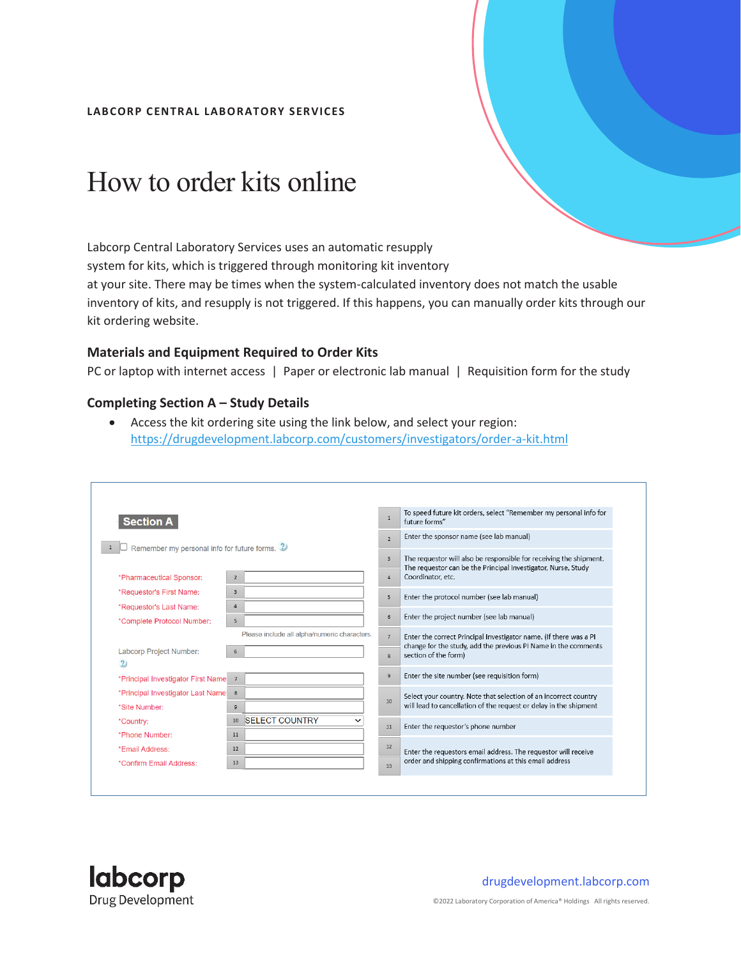#### **LAB CORP CENTRAL LAB ORATORY SERVICES**

# How to order kits online

Labcorp Central Laboratory Services uses an automatic resupply system for kits, which is triggered through monitoring kit inventory at your site. There may be times when the system-calculated inventory does not match the usable inventory of kits, and resupply is not triggered. If this happens, you can manually order kits through our kit ordering website.

#### **Materials and Equipment Required to Order Kits**

PC or laptop with internet access | Paper or electronic lab manual | Requisition form for the study

#### **Completing Section A – Study Details**

 Access the kit ordering site using the link below, and select your region: <https://drugdevelopment.labcorp.com/customers/investigators/order-a-kit.html>

| <b>Section A</b>                                      |                                              | $\overline{1}$ | To speed future kit orders, select "Remember my personal info for<br>future forms"                                                    |  |
|-------------------------------------------------------|----------------------------------------------|----------------|---------------------------------------------------------------------------------------------------------------------------------------|--|
| Remember my personal info for future forms. ?         |                                              | $\overline{2}$ | Enter the sponsor name (see lab manual)                                                                                               |  |
|                                                       |                                              | $\overline{3}$ | The requestor will also be responsible for receiving the shipment.<br>The requestor can be the Principal Investigator, Nurse, Study   |  |
| *Pharmaceutical Sponsor:                              | $\overline{2}$                               | $\overline{4}$ | Coordinator, etc.                                                                                                                     |  |
| *Requestor's First Name:                              | $\mathbf{3}$                                 | 5              | Enter the protocol number (see lab manual)                                                                                            |  |
| *Requestor's Last Name:<br>*Complete Protocol Number: | 4<br>$5^{\circ}$                             | 6              | Enter the project number (see lab manual)                                                                                             |  |
|                                                       | Please include all alpha/numeric characters. | 7              | Enter the correct Principal Investigator name. (If there was a PI                                                                     |  |
| <b>Labcorp Project Number:</b><br>$\overline{2}$      | 6                                            | $\mathbf{R}$   | change for the study, add the previous PI Name in the comments<br>section of the form)                                                |  |
| *Principal Investigator First Name                    | $\overline{7}$                               | 9              | Enter the site number (see requisition form)                                                                                          |  |
| *Principal Investigator Last Name:<br>*Site Number:   | 8<br>9                                       | 10             | Select your country. Note that selection of an incorrect country<br>will lead to cancellation of the request or delay in the shipment |  |
| *Country:                                             | 10 SELECT COUNTRY                            | 11             | Enter the requestor's phone number                                                                                                    |  |
| *Phone Number:                                        | 11                                           |                |                                                                                                                                       |  |
| *Email Address:                                       | 12                                           | 12             | Enter the requestors email address. The requestor will receive<br>order and shipping confirmations at this email address              |  |
| *Confirm Email Address:                               | 13                                           | 13             |                                                                                                                                       |  |